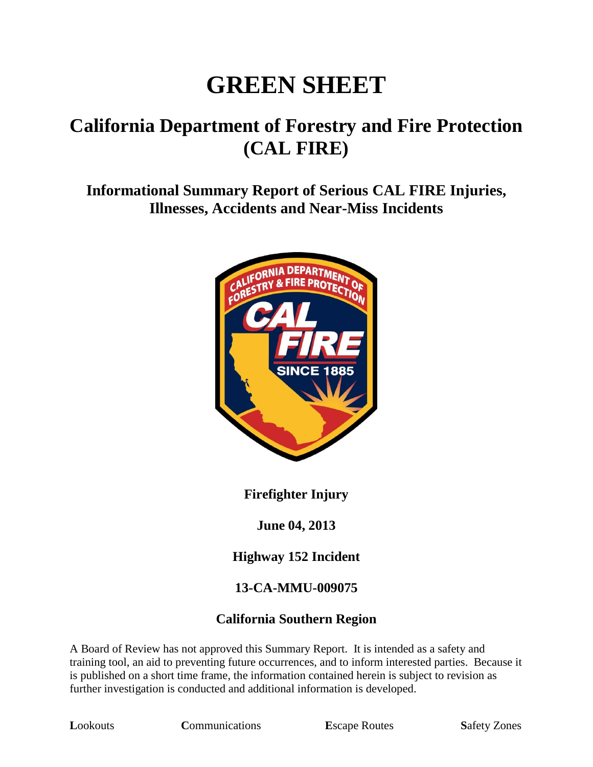# **GREEN SHEET**

# **California Department of Forestry and Fire Protection (CAL FIRE)**

**Informational Summary Report of Serious CAL FIRE Injuries, Illnesses, Accidents and Near-Miss Incidents**



**Firefighter Injury**

**June 04, 2013**

**Highway 152 Incident**

#### **13-CA-MMU-009075**

#### **California Southern Region**

A Board of Review has not approved this Summary Report. It is intended as a safety and training tool, an aid to preventing future occurrences, and to inform interested parties. Because it is published on a short time frame, the information contained herein is subject to revision as further investigation is conducted and additional information is developed.

**Lookouts Communications E**scape Routes **Safety Zones**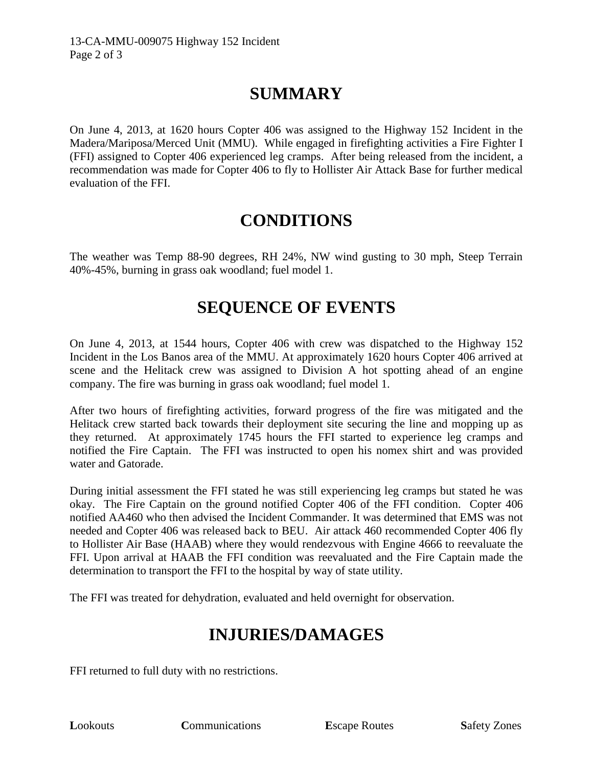# **SUMMARY**

On June 4, 2013, at 1620 hours Copter 406 was assigned to the Highway 152 Incident in the Madera/Mariposa/Merced Unit (MMU). While engaged in firefighting activities a Fire Fighter I (FFI) assigned to Copter 406 experienced leg cramps. After being released from the incident, a recommendation was made for Copter 406 to fly to Hollister Air Attack Base for further medical evaluation of the FFI.

## **CONDITIONS**

The weather was Temp 88-90 degrees, RH 24%, NW wind gusting to 30 mph, Steep Terrain 40%-45%, burning in grass oak woodland; fuel model 1.

## **SEQUENCE OF EVENTS**

On June 4, 2013, at 1544 hours, Copter 406 with crew was dispatched to the Highway 152 Incident in the Los Banos area of the MMU. At approximately 1620 hours Copter 406 arrived at scene and the Helitack crew was assigned to Division A hot spotting ahead of an engine company. The fire was burning in grass oak woodland; fuel model 1.

After two hours of firefighting activities, forward progress of the fire was mitigated and the Helitack crew started back towards their deployment site securing the line and mopping up as they returned. At approximately 1745 hours the FFI started to experience leg cramps and notified the Fire Captain. The FFI was instructed to open his nomex shirt and was provided water and Gatorade.

During initial assessment the FFI stated he was still experiencing leg cramps but stated he was okay. The Fire Captain on the ground notified Copter 406 of the FFI condition. Copter 406 notified AA460 who then advised the Incident Commander. It was determined that EMS was not needed and Copter 406 was released back to BEU. Air attack 460 recommended Copter 406 fly to Hollister Air Base (HAAB) where they would rendezvous with Engine 4666 to reevaluate the FFI. Upon arrival at HAAB the FFI condition was reevaluated and the Fire Captain made the determination to transport the FFI to the hospital by way of state utility.

The FFI was treated for dehydration, evaluated and held overnight for observation.

## **INJURIES/DAMAGES**

FFI returned to full duty with no restrictions.